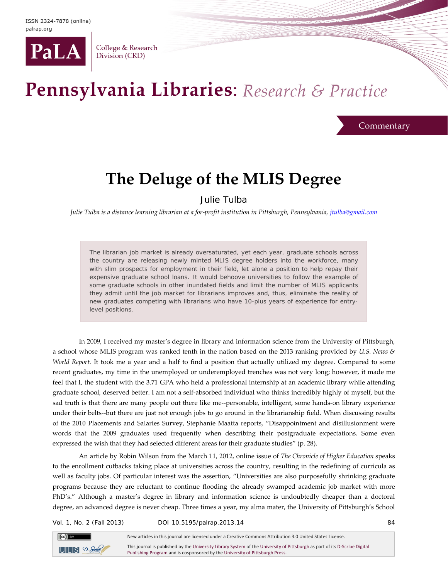

College & Research Division (CRD)

## Pennsylvania Libraries: Research & Practice

**Commentary** 

## **The Deluge of the MLIS Degree**

Julie Tulba

*Julie Tulba is a distance learning librarian at a for-profit institution in Pittsburgh, Pennsylvania, [jtulba@gmail.com](mailto:jtulba@gmail.com)*

The librarian job market is already oversaturated, yet each year, graduate schools across the country are releasing newly minted MLIS degree holders into the workforce, many with slim prospects for employment in their field, let alone a position to help repay their expensive graduate school loans. It would behoove universities to follow the example of some graduate schools in other inundated fields and limit the number of MLIS applicants they admit until the job market for librarians improves and, thus, eliminate the reality of new graduates competing with librarians who have 10-plus years of experience for entrylevel positions.

In 2009, I received my master's degree in library and information science from the University of Pittsburgh, a school whose MLIS program was ranked tenth in the nation based on the 2013 ranking provided by *U.S. News & World Report.* It took me a year and a half to find a position that actually utilized my degree. Compared to some recent graduates, my time in the unemployed or underemployed trenches was not very long; however, it made me feel that I, the student with the 3.71 GPA who held a professional internship at an academic library while attending graduate school, deserved better. I am not a self-absorbed individual who thinks incredibly highly of myself, but the sad truth is that there are many people out there like me--personable, intelligent, some hands-on library experience under their belts--but there are just not enough jobs to go around in the librarianship field. When discussing results of the 2010 Placements and Salaries Survey, Stephanie Maatta reports, "Disappointment and disillusionment were words that the 2009 graduates used frequently when describing their postgraduate expectations. Some even expressed the wish that they had selected different areas for their graduate studies" (p. 28).

An article by Robin Wilson from the March 11, 2012, online issue of *The Chronicle of Higher Education* speaks to the enrollment cutbacks taking place at universities across the country, resulting in the redefining of curricula as well as faculty jobs. Of particular interest was the assertion, "Universities are also purposefully shrinking graduate programs because they are reluctant to continue flooding the already swamped academic job market with more PhD's." Although a master's degree in library and information science is undoubtedly cheaper than a doctoral degree, an advanced degree is never cheap. Three times a year, my alma mater, the University of Pittsburgh's School

Vol. 1, No. 2 (Fall 2013) DOI 10.5195/palrap.2013.14 84



New articles in this journal are licensed under a Creative Commons Attribution 3.0 United States License. This journal is published by th[e University Library System](http://www.library.pitt.edu/) of th[e University of Pittsburgh](http://www.pitt.edu/) as part of it[s D-Scribe Digital](http://www.library.pitt.edu/e-journals)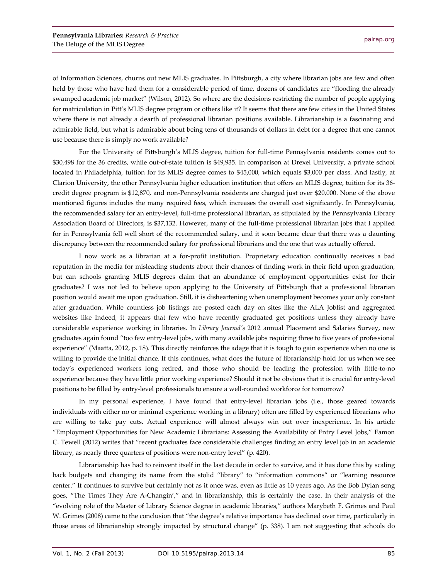of Information Sciences, churns out new MLIS graduates. In Pittsburgh, a city where librarian jobs are few and often held by those who have had them for a considerable period of time, dozens of candidates are "flooding the already swamped academic job market" (Wilson, 2012). So where are the decisions restricting the number of people applying for matriculation in Pitt's MLIS degree program or others like it? It seems that there are few cities in the United States where there is not already a dearth of professional librarian positions available. Librarianship is a fascinating and admirable field, but what is admirable about being tens of thousands of dollars in debt for a degree that one cannot use because there is simply no work available?

For the University of Pittsburgh's MLIS degree, tuition for full-time Pennsylvania residents comes out to \$30,498 for the 36 credits, while out-of-state tuition is \$49,935. In comparison at Drexel University, a private school located in Philadelphia, tuition for its MLIS degree comes to \$45,000, which equals \$3,000 per class. And lastly, at Clarion University, the other Pennsylvania higher education institution that offers an MLIS degree, tuition for its 36 credit degree program is \$12,870, and non-Pennsylvania residents are charged just over \$20,000. None of the above mentioned figures includes the many required fees, which increases the overall cost significantly. In Pennsylvania, the recommended salary for an entry-level, full-time professional librarian, as stipulated by the Pennsylvania Library Association Board of Directors, is \$37,132. However, many of the full-time professional librarian jobs that I applied for in Pennsylvania fell well short of the recommended salary, and it soon became clear that there was a daunting discrepancy between the recommended salary for professional librarians and the one that was actually offered.

I now work as a librarian at a for-profit institution. Proprietary education continually receives a bad reputation in the media for misleading students about their chances of finding work in their field upon graduation, but can schools granting MLIS degrees claim that an abundance of employment opportunities exist for their graduates? I was not led to believe upon applying to the University of Pittsburgh that a professional librarian position would await me upon graduation. Still, it is disheartening when unemployment becomes your only constant after graduation. While countless job listings are posted each day on sites like the ALA Joblist and aggregated websites like Indeed, it appears that few who have recently graduated get positions unless they already have considerable experience working in libraries. In *Library Journal's* 2012 annual Placement and Salaries Survey, new graduates again found "too few entry-level jobs, with many available jobs requiring three to five years of professional experience" (Maatta, 2012, p. 18). This directly reinforces the adage that it is tough to gain experience when no one is willing to provide the initial chance. If this continues, what does the future of librarianship hold for us when we see today's experienced workers long retired, and those who should be leading the profession with little-to-no experience because they have little prior working experience? Should it not be obvious that it is crucial for entry-level positions to be filled by entry-level professionals to ensure a well-rounded workforce for tomorrow?

In my personal experience, I have found that entry-level librarian jobs (i.e., those geared towards individuals with either no or minimal experience working in a library) often are filled by experienced librarians who are willing to take pay cuts. Actual experience will almost always win out over inexperience. In his article "Employment Opportunities for New Academic Librarians: Assessing the Availability of Entry Level Jobs," Eamon C. Tewell (2012) writes that "recent graduates face considerable challenges finding an entry level job in an academic library, as nearly three quarters of positions were non-entry level" (p. 420).

Librarianship has had to reinvent itself in the last decade in order to survive, and it has done this by scaling back budgets and changing its name from the stolid "library" to "information commons" or "learning resource center." It continues to survive but certainly not as it once was, even as little as 10 years ago. As the Bob Dylan song goes, "The Times They Are A-Changin'," and in librarianship, this is certainly the case. In their analysis of the "evolving role of the Master of Library Science degree in academic libraries," authors Marybeth F. Grimes and Paul W. Grimes (2008) came to the conclusion that "the degree's relative importance has declined over time, particularly in those areas of librarianship strongly impacted by structural change" (p. 338). I am not suggesting that schools do